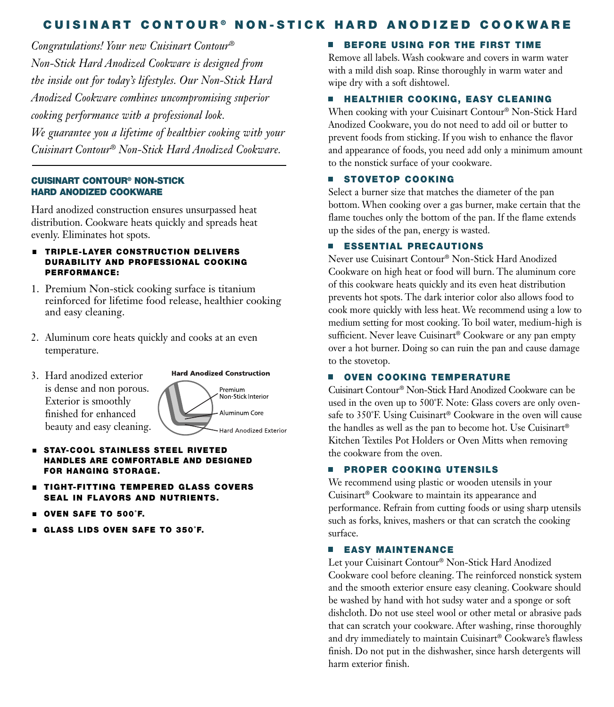# CUISINART CONTOUR® NON-STICK HARD ANODIZED COOKWARE

*Congratulations! Your new Cuisinart Contour® Non-Stick Hard Anodized Cookware is designed from the inside out for today's lifestyles. Our Non-Stick Hard Anodized Cookware combines uncompromising superior cooking performance with a professional look. We guarantee you a lifetime of healthier cooking with your Cuisinart Contour® Non-Stick Hard Anodized Cookware.*

#### Cuisinart COntOur® nOn-stiCk Hard anOdized COOkware

Hard anodized construction ensures unsurpassed heat distribution. Cookware heats quickly and spreads heat evenly. Eliminates hot spots.

- **EXTRIPLE-LAYER CONSTRUCTION DELIVERS** DURABILITY AND PROFESSIONAL COOKING perfOrmanCe:
- 1. Premium Non-stick cooking surface is titanium reinforced for lifetime food release, healthier cooking and easy cleaning.
- 2. Aluminum core heats quickly and cooks at an even temperature.
- 3. Hard anodized exterior is dense and non porous. Exterior is smoothly finished for enhanced beauty and easy cleaning.



- **STAY-COOL STAINLESS STEEL RIVETED** Handles are COmfOrtable and designed fOr Hanging stOrage.
- **EXTERGEMERED GLASS COVERS** seal in flavOrs and nutrients.
- Oven safe tO 500˚f.
- glass lids Oven safe tO 350˚f.

# **BEFORE USING FOR THE FIRST TIME**

Remove all labels. Wash cookware and covers in warm water with a mild dish soap. Rinse thoroughly in warm water and wipe dry with a soft dishtowel.

### **HEALTHIER COOKING, EASY CLEANING**

When cooking with your Cuisinart Contour® Non-Stick Hard Anodized Cookware, you do not need to add oil or butter to prevent foods from sticking. If you wish to enhance the flavor and appearance of foods, you need add only a minimum amount to the nonstick surface of your cookware.

## **STOVETOP COOKING**

Select a burner size that matches the diameter of the pan bottom. When cooking over a gas burner, make certain that the flame touches only the bottom of the pan. If the flame extends up the sides of the pan, energy is wasted.

#### **ESSENTIAL PRECAUTIONS**

Never use Cuisinart Contour® Non-Stick Hard Anodized Cookware on high heat or food will burn. The aluminum core of this cookware heats quickly and its even heat distribution prevents hot spots. The dark interior color also allows food to cook more quickly with less heat. We recommend using a low to medium setting for most cooking. To boil water, medium-high is sufficient. Never leave Cuisinart® Cookware or any pan empty over a hot burner. Doing so can ruin the pan and cause damage to the stovetop.

#### **E** OVEN COOKING TEMPERATURE

Cuisinart Contour® Non-Stick Hard Anodized Cookware can be used in the oven up to 500˚F. Note: Glass covers are only ovensafe to 350˚F. Using Cuisinart® Cookware in the oven will cause the handles as well as the pan to become hot. Use Cuisinart® Kitchen Textiles Pot Holders or Oven Mitts when removing the cookware from the oven.

#### **PROPER COOKING UTENSILS**

We recommend using plastic or wooden utensils in your Cuisinart® Cookware to maintain its appearance and performance. Refrain from cutting foods or using sharp utensils such as forks, knives, mashers or that can scratch the cooking surface.

#### **EASY MAINTENANCE**

Let your Cuisinart Contour® Non-Stick Hard Anodized Cookware cool before cleaning. The reinforced nonstick system and the smooth exterior ensure easy cleaning. Cookware should be washed by hand with hot sudsy water and a sponge or soft dishcloth. Do not use steel wool or other metal or abrasive pads that can scratch your cookware. After washing, rinse thoroughly and dry immediately to maintain Cuisinart® Cookware's flawless finish. Do not put in the dishwasher, since harsh detergents will harm exterior finish.